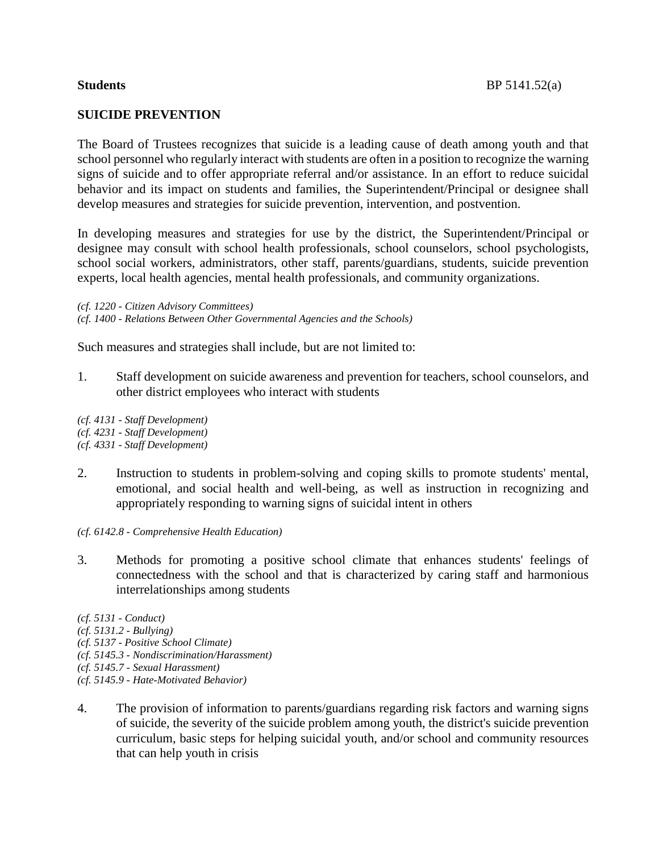## **SUICIDE PREVENTION**

The Board of Trustees recognizes that suicide is a leading cause of death among youth and that school personnel who regularly interact with students are often in a position to recognize the warning signs of suicide and to offer appropriate referral and/or assistance. In an effort to reduce suicidal behavior and its impact on students and families, the Superintendent/Principal or designee shall develop measures and strategies for suicide prevention, intervention, and postvention.

In developing measures and strategies for use by the district, the Superintendent/Principal or designee may consult with school health professionals, school counselors, school psychologists, school social workers, administrators, other staff, parents/guardians, students, suicide prevention experts, local health agencies, mental health professionals, and community organizations.

*(cf. 1220 - Citizen Advisory Committees) (cf. 1400 - Relations Between Other Governmental Agencies and the Schools)*

Such measures and strategies shall include, but are not limited to:

1. Staff development on suicide awareness and prevention for teachers, school counselors, and other district employees who interact with students

*(cf. 4131 - Staff Development) (cf. 4231 - Staff Development) (cf. 4331 - Staff Development)*

- 2. Instruction to students in problem-solving and coping skills to promote students' mental, emotional, and social health and well-being, as well as instruction in recognizing and appropriately responding to warning signs of suicidal intent in others
- *(cf. 6142.8 - Comprehensive Health Education)*
- 3. Methods for promoting a positive school climate that enhances students' feelings of connectedness with the school and that is characterized by caring staff and harmonious interrelationships among students

*(cf. 5131 - Conduct) (cf. 5131.2 - Bullying) (cf. 5137 - Positive School Climate) (cf. 5145.3 - Nondiscrimination/Harassment) (cf. 5145.7 - Sexual Harassment) (cf. 5145.9 - Hate-Motivated Behavior)*

4. The provision of information to parents/guardians regarding risk factors and warning signs of suicide, the severity of the suicide problem among youth, the district's suicide prevention curriculum, basic steps for helping suicidal youth, and/or school and community resources that can help youth in crisis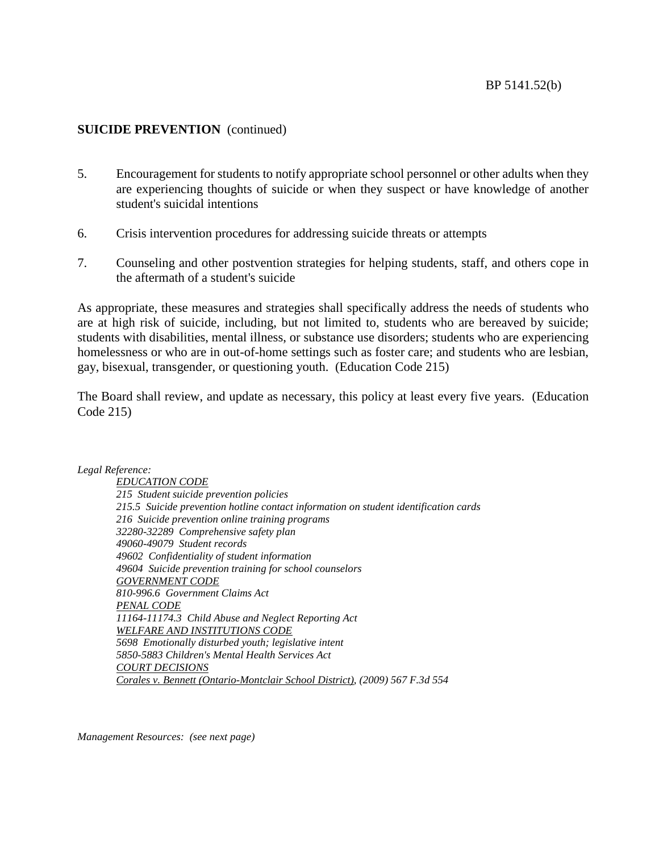- 5. Encouragement for students to notify appropriate school personnel or other adults when they are experiencing thoughts of suicide or when they suspect or have knowledge of another student's suicidal intentions
- 6. Crisis intervention procedures for addressing suicide threats or attempts
- 7. Counseling and other postvention strategies for helping students, staff, and others cope in the aftermath of a student's suicide

As appropriate, these measures and strategies shall specifically address the needs of students who are at high risk of suicide, including, but not limited to, students who are bereaved by suicide; students with disabilities, mental illness, or substance use disorders; students who are experiencing homelessness or who are in out-of-home settings such as foster care; and students who are lesbian, gay, bisexual, transgender, or questioning youth. (Education Code 215)

The Board shall review, and update as necessary, this policy at least every five years. (Education Code 215)

#### *Legal Reference:*

*EDUCATION CODE 215 Student suicide prevention policies 215.5 Suicide prevention hotline contact information on student identification cards 216 Suicide prevention online training programs 32280-32289 Comprehensive safety plan 49060-49079 Student records 49602 Confidentiality of student information 49604 Suicide prevention training for school counselors GOVERNMENT CODE 810-996.6 Government Claims Act PENAL CODE 11164-11174.3 Child Abuse and Neglect Reporting Act WELFARE AND INSTITUTIONS CODE 5698 Emotionally disturbed youth; legislative intent 5850-5883 Children's Mental Health Services Act COURT DECISIONS Corales v. Bennett (Ontario-Montclair School District), (2009) 567 F.3d 554*

*Management Resources: (see next page)*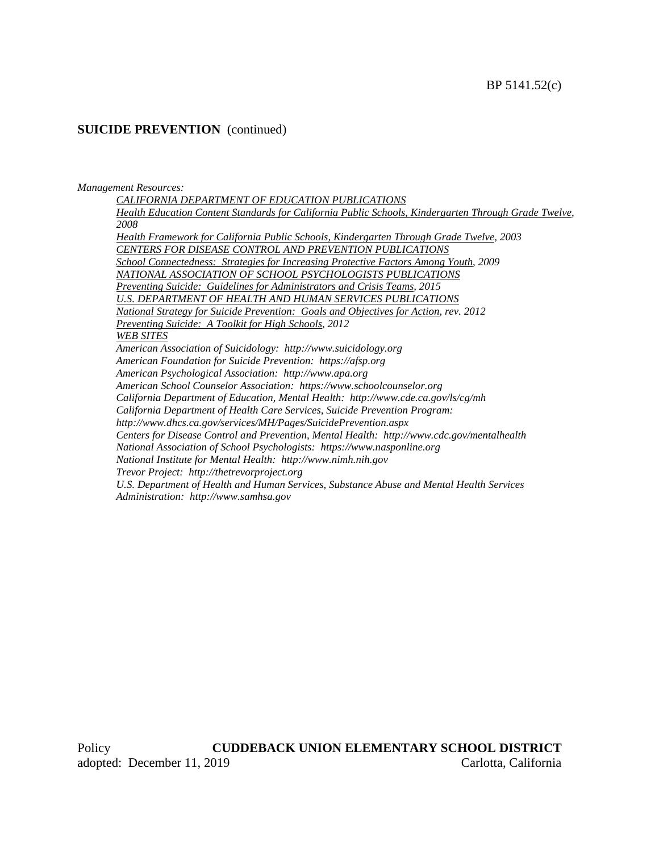#### *Management Resources:*

*CALIFORNIA DEPARTMENT OF EDUCATION PUBLICATIONS Health Education Content Standards for California Public Schools, Kindergarten Through Grade Twelve, 2008 Health Framework for California Public Schools, Kindergarten Through Grade Twelve, 2003 CENTERS FOR DISEASE CONTROL AND PREVENTION PUBLICATIONS School Connectedness: Strategies for Increasing Protective Factors Among Youth, 2009 NATIONAL ASSOCIATION OF SCHOOL PSYCHOLOGISTS PUBLICATIONS Preventing Suicide: Guidelines for Administrators and Crisis Teams, 2015 U.S. DEPARTMENT OF HEALTH AND HUMAN SERVICES PUBLICATIONS National Strategy for Suicide Prevention: Goals and Objectives for Action, rev. 2012 Preventing Suicide: A Toolkit for High Schools, 2012 WEB SITES American Association of Suicidology: http://www.suicidology.org American Foundation for Suicide Prevention: https://afsp.org American Psychological Association: http://www.apa.org American School Counselor Association: https://www.schoolcounselor.org California Department of Education, Mental Health: http://www.cde.ca.gov/ls/cg/mh California Department of Health Care Services, Suicide Prevention Program: http://www.dhcs.ca.gov/services/MH/Pages/SuicidePrevention.aspx Centers for Disease Control and Prevention, Mental Health: http://www.cdc.gov/mentalhealth National Association of School Psychologists: https://www.nasponline.org National Institute for Mental Health: http://www.nimh.nih.gov Trevor Project: http://thetrevorproject.org U.S. Department of Health and Human Services, Substance Abuse and Mental Health Services Administration: http://www.samhsa.gov*

Policy **CUDDEBACK UNION ELEMENTARY SCHOOL DISTRICT** adopted: December 11, 2019 Carlotta, California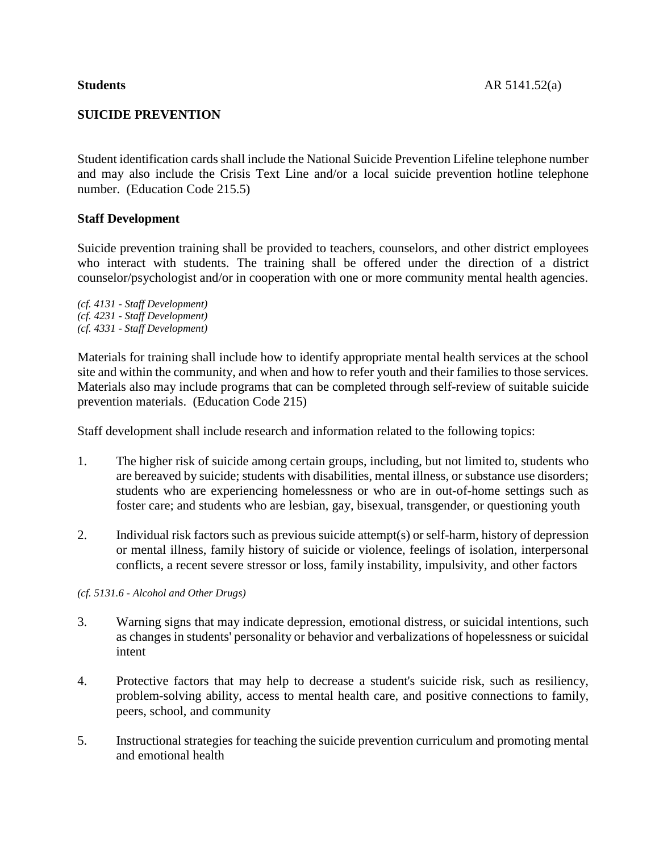## **SUICIDE PREVENTION**

Student identification cards shall include the National Suicide Prevention Lifeline telephone number and may also include the Crisis Text Line and/or a local suicide prevention hotline telephone number. (Education Code 215.5)

## **Staff Development**

Suicide prevention training shall be provided to teachers, counselors, and other district employees who interact with students. The training shall be offered under the direction of a district counselor/psychologist and/or in cooperation with one or more community mental health agencies.

*(cf. 4131 - Staff Development) (cf. 4231 - Staff Development) (cf. 4331 - Staff Development)*

Materials for training shall include how to identify appropriate mental health services at the school site and within the community, and when and how to refer youth and their families to those services. Materials also may include programs that can be completed through self-review of suitable suicide prevention materials. (Education Code 215)

Staff development shall include research and information related to the following topics:

- 1. The higher risk of suicide among certain groups, including, but not limited to, students who are bereaved by suicide; students with disabilities, mental illness, or substance use disorders; students who are experiencing homelessness or who are in out-of-home settings such as foster care; and students who are lesbian, gay, bisexual, transgender, or questioning youth
- 2. Individual risk factors such as previous suicide attempt(s) or self-harm, history of depression or mental illness, family history of suicide or violence, feelings of isolation, interpersonal conflicts, a recent severe stressor or loss, family instability, impulsivity, and other factors

### *(cf. 5131.6 - Alcohol and Other Drugs)*

- 3. Warning signs that may indicate depression, emotional distress, or suicidal intentions, such as changes in students' personality or behavior and verbalizations of hopelessness or suicidal intent
- 4. Protective factors that may help to decrease a student's suicide risk, such as resiliency, problem-solving ability, access to mental health care, and positive connections to family, peers, school, and community
- 5. Instructional strategies for teaching the suicide prevention curriculum and promoting mental and emotional health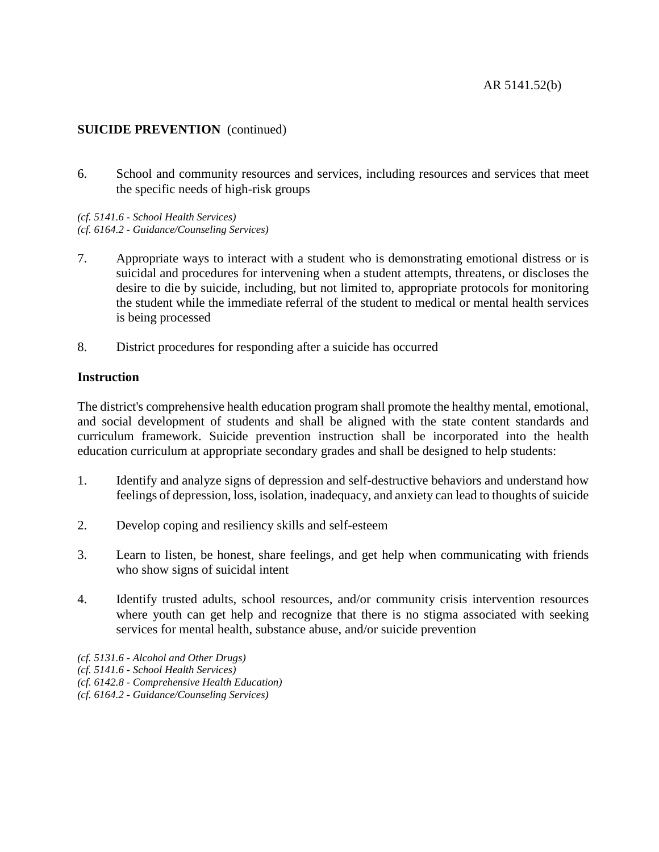## AR 5141.52(b)

## **SUICIDE PREVENTION** (continued)

6. School and community resources and services, including resources and services that meet the specific needs of high-risk groups

*(cf. 5141.6 - School Health Services) (cf. 6164.2 - Guidance/Counseling Services)*

- 7. Appropriate ways to interact with a student who is demonstrating emotional distress or is suicidal and procedures for intervening when a student attempts, threatens, or discloses the desire to die by suicide, including, but not limited to, appropriate protocols for monitoring the student while the immediate referral of the student to medical or mental health services is being processed
- 8. District procedures for responding after a suicide has occurred

## **Instruction**

The district's comprehensive health education program shall promote the healthy mental, emotional, and social development of students and shall be aligned with the state content standards and curriculum framework. Suicide prevention instruction shall be incorporated into the health education curriculum at appropriate secondary grades and shall be designed to help students:

- 1. Identify and analyze signs of depression and self-destructive behaviors and understand how feelings of depression, loss, isolation, inadequacy, and anxiety can lead to thoughts of suicide
- 2. Develop coping and resiliency skills and self-esteem
- 3. Learn to listen, be honest, share feelings, and get help when communicating with friends who show signs of suicidal intent
- 4. Identify trusted adults, school resources, and/or community crisis intervention resources where youth can get help and recognize that there is no stigma associated with seeking services for mental health, substance abuse, and/or suicide prevention
- *(cf. 5131.6 - Alcohol and Other Drugs)*
- *(cf. 5141.6 - School Health Services)*
- *(cf. 6142.8 - Comprehensive Health Education)*
- *(cf. 6164.2 - Guidance/Counseling Services)*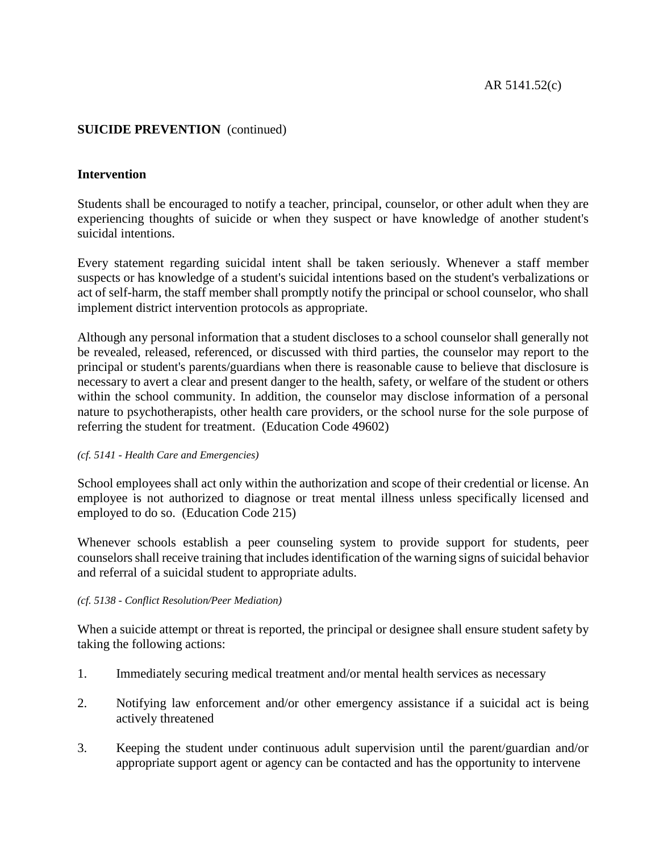## **Intervention**

Students shall be encouraged to notify a teacher, principal, counselor, or other adult when they are experiencing thoughts of suicide or when they suspect or have knowledge of another student's suicidal intentions.

Every statement regarding suicidal intent shall be taken seriously. Whenever a staff member suspects or has knowledge of a student's suicidal intentions based on the student's verbalizations or act of self-harm, the staff member shall promptly notify the principal or school counselor, who shall implement district intervention protocols as appropriate.

Although any personal information that a student discloses to a school counselor shall generally not be revealed, released, referenced, or discussed with third parties, the counselor may report to the principal or student's parents/guardians when there is reasonable cause to believe that disclosure is necessary to avert a clear and present danger to the health, safety, or welfare of the student or others within the school community. In addition, the counselor may disclose information of a personal nature to psychotherapists, other health care providers, or the school nurse for the sole purpose of referring the student for treatment. (Education Code 49602)

### *(cf. 5141 - Health Care and Emergencies)*

School employees shall act only within the authorization and scope of their credential or license. An employee is not authorized to diagnose or treat mental illness unless specifically licensed and employed to do so. (Education Code 215)

Whenever schools establish a peer counseling system to provide support for students, peer counselors shall receive training that includes identification of the warning signs of suicidal behavior and referral of a suicidal student to appropriate adults.

### *(cf. 5138 - Conflict Resolution/Peer Mediation)*

When a suicide attempt or threat is reported, the principal or designee shall ensure student safety by taking the following actions:

- 1. Immediately securing medical treatment and/or mental health services as necessary
- 2. Notifying law enforcement and/or other emergency assistance if a suicidal act is being actively threatened
- 3. Keeping the student under continuous adult supervision until the parent/guardian and/or appropriate support agent or agency can be contacted and has the opportunity to intervene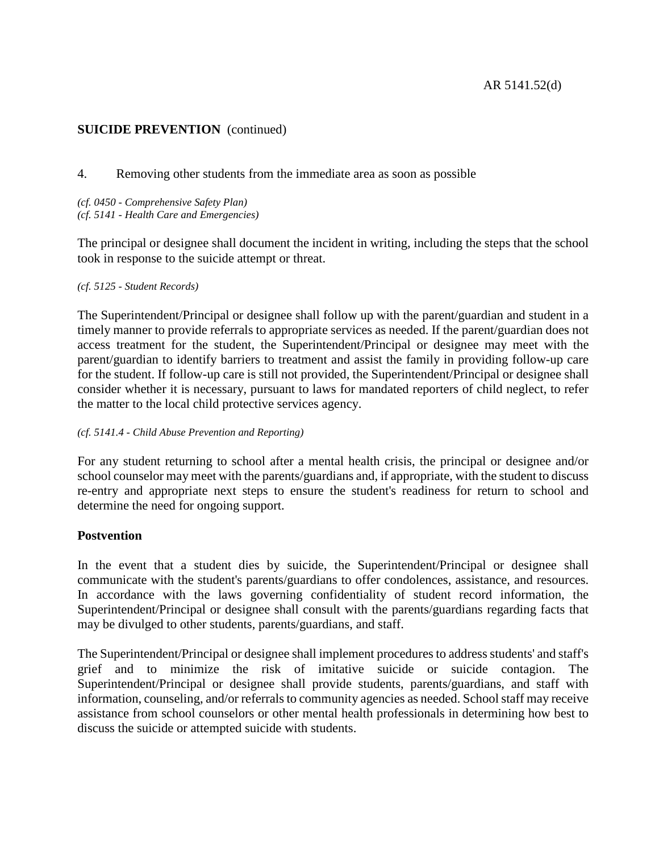## 4. Removing other students from the immediate area as soon as possible

*(cf. 0450 - Comprehensive Safety Plan) (cf. 5141 - Health Care and Emergencies)*

The principal or designee shall document the incident in writing, including the steps that the school took in response to the suicide attempt or threat.

#### *(cf. 5125 - Student Records)*

The Superintendent/Principal or designee shall follow up with the parent/guardian and student in a timely manner to provide referrals to appropriate services as needed. If the parent/guardian does not access treatment for the student, the Superintendent/Principal or designee may meet with the parent/guardian to identify barriers to treatment and assist the family in providing follow-up care for the student. If follow-up care is still not provided, the Superintendent/Principal or designee shall consider whether it is necessary, pursuant to laws for mandated reporters of child neglect, to refer the matter to the local child protective services agency.

### *(cf. 5141.4 - Child Abuse Prevention and Reporting)*

For any student returning to school after a mental health crisis, the principal or designee and/or school counselor may meet with the parents/guardians and, if appropriate, with the student to discuss re-entry and appropriate next steps to ensure the student's readiness for return to school and determine the need for ongoing support.

### **Postvention**

In the event that a student dies by suicide, the Superintendent/Principal or designee shall communicate with the student's parents/guardians to offer condolences, assistance, and resources. In accordance with the laws governing confidentiality of student record information, the Superintendent/Principal or designee shall consult with the parents/guardians regarding facts that may be divulged to other students, parents/guardians, and staff.

The Superintendent/Principal or designee shall implement procedures to address students' and staff's grief and to minimize the risk of imitative suicide or suicide contagion. The Superintendent/Principal or designee shall provide students, parents/guardians, and staff with information, counseling, and/or referrals to community agencies as needed. School staff may receive assistance from school counselors or other mental health professionals in determining how best to discuss the suicide or attempted suicide with students.